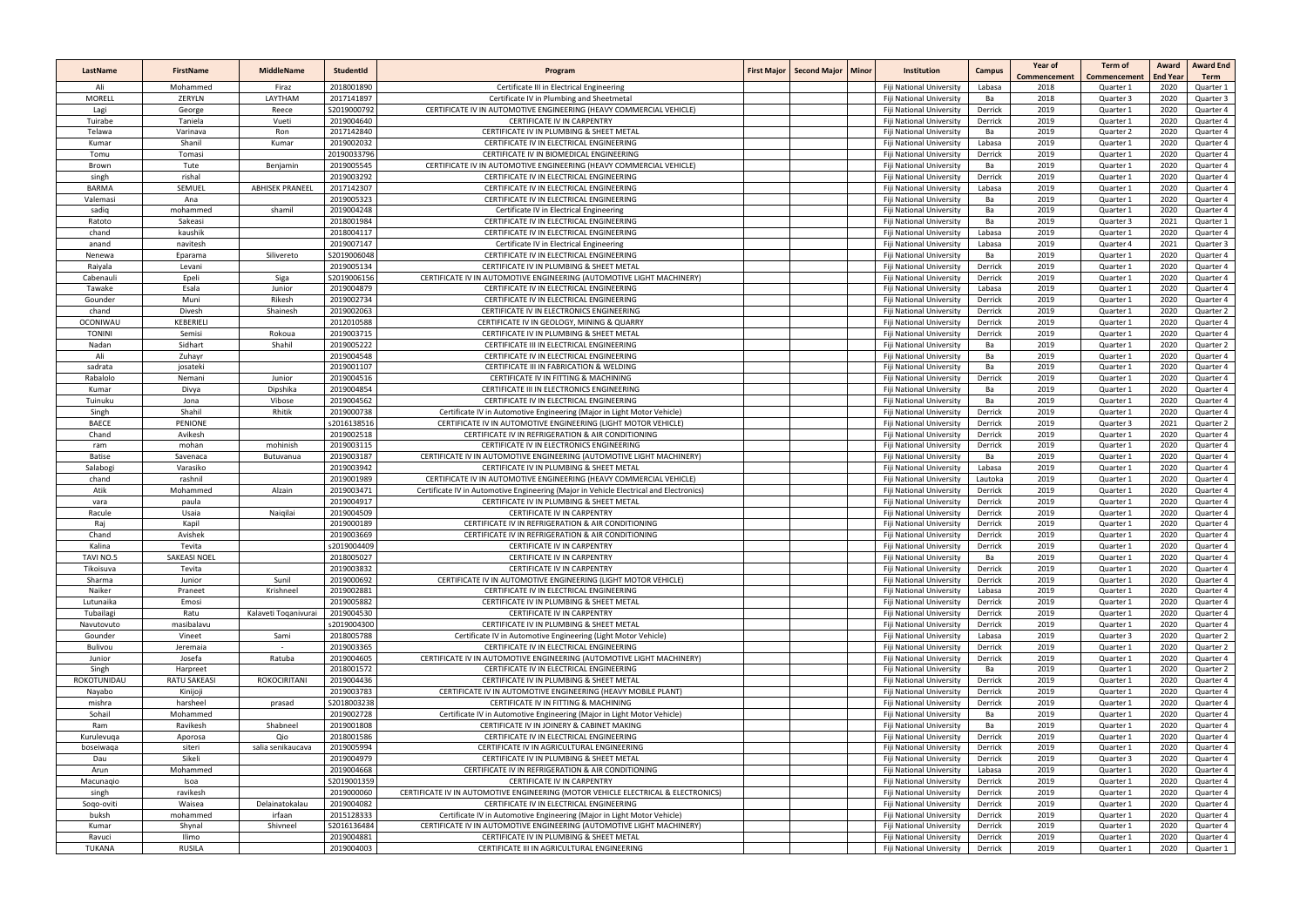| LastName                | <b>FirstName</b>    | <b>MiddleName</b>      | Studentid                 | Program                                                                                                         | First Major   Second Major   Minor | <b>Institution</b>                                   | <b>Campus</b>     | Year of<br>Commencement | <b>Term of</b><br>Commencement | Award<br><b>End Year</b> | <b>Award End</b><br>Term |
|-------------------------|---------------------|------------------------|---------------------------|-----------------------------------------------------------------------------------------------------------------|------------------------------------|------------------------------------------------------|-------------------|-------------------------|--------------------------------|--------------------------|--------------------------|
| Ali                     | Mohammed            | Firaz                  | 2018001890                | Certificate III in Electrical Engineering                                                                       |                                    | <b>Fiji National University</b>                      | Labasa            | 2018                    | Quarter 1                      | 2020                     | Quarter 1                |
| <b>MORELL</b>           | ZERYLN              | LAYTHAM                | 2017141897                | Certificate IV in Plumbing and Sheetmetal                                                                       |                                    | Fiji National University                             | Ba                | 2018                    | Quarter 3                      | 2020                     | Quarter 3                |
| Lagi                    | George              | Reece                  | S2019000792               | CERTIFICATE IV IN AUTOMOTIVE ENGINEERING (HEAVY COMMERCIAL VEHICLE)                                             |                                    | Fiji National University                             | Derrick           | 2019                    | Quarter 1                      | 2020                     | Quarter 4                |
| Tuirabe                 | Taniela             | Vueti                  | 2019004640                | CERTIFICATE IV IN CARPENTRY                                                                                     |                                    | Fiji National University                             | Derrick           | 2019                    | Quarter 1                      | 2020                     | Quarter 4                |
| Telawa                  | Varinava            | Ron                    | 2017142840                | CERTIFICATE IV IN PLUMBING & SHEET METAL                                                                        |                                    | Fiji National University                             | Ba                | 2019                    | Quarter 2                      | 2020                     | Quarter 4                |
| Kumar                   | Shanil              | Kumar                  | 2019002032                | CERTIFICATE IV IN ELECTRICAL ENGINEERING                                                                        |                                    | Fiji National University                             | Labasa            | 2019                    | Quarter 1                      | 2020                     | Quarter 4                |
| Tomu<br>Brown           | Tomasi              | Benjamin               | 20190033796<br>2019005545 | CERTIFICATE IV IN BIOMEDICAL ENGINEERING<br>CERTIFICATE IV IN AUTOMOTIVE ENGINEERING (HEAVY COMMERCIAL VEHICLE) |                                    | Fiji National University                             | Derrick<br>Ba     | 2019<br>2019            | Quarter 1                      | 2020<br>2020             | Quarter 4<br>Quarter 4   |
| singh                   | Tute<br>rishal      |                        | 2019003292                | CERTIFICATE IV IN ELECTRICAL ENGINEERING                                                                        |                                    | Fiji National University<br>Fiji National University | Derrick           | 2019                    | Quarter 1<br>Quarter 1         | 2020                     | Quarter 4                |
| <b>BARMA</b>            | SEMUEL              | <b>ABHISEK PRANEEL</b> | 2017142307                | CERTIFICATE IV IN ELECTRICAL ENGINEERING                                                                        |                                    | Fiji National University                             | Labasa            | 2019                    | Quarter 1                      | 2020                     | Quarter 4                |
| Valemasi                | Ana                 |                        | 2019005323                | CERTIFICATE IV IN ELECTRICAL ENGINEERING                                                                        |                                    | Fiji National University                             | Ba                | 2019                    | Quarter 1                      | 2020                     | Quarter 4                |
| sadiq                   | mohammed            | shamil                 | 2019004248                | Certificate IV in Electrical Engineering                                                                        |                                    | Fiji National University                             | Ba                | 2019                    | Quarter 1                      | 2020                     | Quarter 4                |
| Ratoto                  | Sakeasi             |                        | 2018001984                | CERTIFICATE IV IN ELECTRICAL ENGINEERING                                                                        |                                    | Fiji National University                             | Ba                | 2019                    | Quarter 3                      | 2021                     | Quarter 1                |
| chand                   | kaushik             |                        | 2018004117                | CERTIFICATE IV IN ELECTRICAL ENGINEERING                                                                        |                                    | Fiji National University                             | Labasa            | 2019                    | Quarter 1                      | 2020                     | Quarter 4                |
| anand                   | navitesh            |                        | 2019007147                | Certificate IV in Electrical Engineering                                                                        |                                    | Fiji National University                             | Labasa            | 2019                    | Quarter 4                      | 2021                     | Quarter 3                |
| Nenewa                  | Eparama             | Silivereto             | \$2019006048              | CERTIFICATE IV IN ELECTRICAL ENGINEERING                                                                        |                                    | Fiji National University                             | Ba                | 2019                    | Quarter 1                      | 2020                     | Quarter 4                |
| Raiyala                 | Levani              |                        | 2019005134                | CERTIFICATE IV IN PLUMBING & SHEET METAL                                                                        |                                    | Fiji National University                             | Derrick           | 2019                    | Quarter 1                      | 2020                     | Quarter 4                |
| Cabenaul                | Epeli               | Siga                   | S2019006156               | CERTIFICATE IV IN AUTOMOTIVE ENGINEERING (AUTOMOTIVE LIGHT MACHINERY)                                           |                                    | Fiji National University                             | Derrick           | 2019                    | Quarter 1                      | 2020                     | Quarter 4                |
| Tawake                  | Esala               | Junior                 | 2019004879                | CERTIFICATE IV IN ELECTRICAL ENGINEERING                                                                        |                                    | Fiji National University                             | Labasa            | 2019                    | Quarter 1                      | 2020                     | Quarter 4                |
| Gounder                 | Muni                | Rikesh                 | 2019002734                | CERTIFICATE IV IN ELECTRICAL ENGINEERING                                                                        |                                    | Fiji National University                             | Derrick           | 2019                    | Quarter 1                      | 2020                     | Quarter 4                |
| chand                   | Divesh              | Shainesh               | 2019002063                | CERTIFICATE IV IN ELECTRONICS ENGINEERING                                                                       |                                    | Fiji National University                             | Derrick           | 2019                    | Quarter 1                      | 2020                     | Quarter 2                |
| <b>OCONIWAU</b>         | KEBERIELI           |                        | 2012010588                | CERTIFICATE IV IN GEOLOGY, MINING & QUARRY                                                                      |                                    | Fiji National University                             | Derrick           | 2019                    | Quarter 1                      | 2020                     | Quarter 4                |
| <b>TONINI</b>           | Semisi              | Rokoua                 | 2019003715                | CERTIFICATE IV IN PLUMBING & SHEET METAL                                                                        |                                    | Fiji National University                             | Derrick           | 2019                    | Quarter 1                      | 2020                     | Quarter 4                |
| Nadan                   | Sidhart             | Shahil                 | 2019005222                | CERTIFICATE III IN ELECTRICAL ENGINEERING                                                                       |                                    | Fiji National University                             | Ba                | 2019                    | Quarter 1                      | 2020                     | Quarter 2                |
| Ali                     | Zuhayr              |                        | 2019004548                | CERTIFICATE IV IN ELECTRICAL ENGINEERING                                                                        |                                    | Fiji National University                             | Ba                | 2019                    | Quarter 1                      | 2020                     | Quarter 4                |
| sadrata                 | josateki            |                        | 2019001107                | CERTIFICATE III IN FABRICATION & WELDING                                                                        |                                    | Fiji National University                             | Ba                | 2019                    | Quarter 1                      | 2020                     | Quarter 4                |
| Rabalolo                | Nemani              | Junior                 | 2019004516                | CERTIFICATE IV IN FITTING & MACHINING                                                                           |                                    | Fiji National University                             | Derrick           | 2019                    | Quarter 1                      | 2020                     | Quarter 4                |
| Kumar<br>Tuinuku        | Divya<br>Jona       | Dipshika<br>Vibose     | 2019004854<br>2019004562  | CERTIFICATE III IN ELECTRONICS ENGINEERING<br>CERTIFICATE IV IN ELECTRICAL ENGINEERING                          |                                    | Fiji National University                             | Ba<br>Ba          | 2019<br>2019            | Quarter 1                      | 2020<br>2020             | Quarter 4<br>Quarter 4   |
| Singh                   | Shahil              | Rhitik                 | 2019000738                | Certificate IV in Automotive Engineering (Major in Light Motor Vehicle)                                         |                                    | Fiji National University<br>Fiji National University | Derrick           | 2019                    | Quarter 1<br>Quarter 1         | 2020                     | Quarter 4                |
| <b>BAECE</b>            | <b>PENIONE</b>      |                        | s2016138516               | CERTIFICATE IV IN AUTOMOTIVE ENGINEERING (LIGHT MOTOR VEHICLE)                                                  |                                    | Fiji National University                             | Derrick           | 2019                    | Quarter 3                      | 2021                     | Quarter 2                |
| Chand                   | Avikesh             |                        | 2019002518                | CERTIFICATE IV IN REFRIGERATION & AIR CONDITIONING                                                              |                                    | Fiji National University                             | Derrick           | 2019                    | Quarter 1                      | 2020                     | Quarter 4                |
| ram                     | mohan               | mohinish               | 2019003115                | CERTIFICATE IV IN ELECTRONICS ENGINEERING                                                                       |                                    | Fiji National University                             | Derrick           | 2019                    | Quarter 1                      | 2020                     | Quarter 4                |
| Batise                  | Savenaca            | Butuvanua              | 2019003187                | CERTIFICATE IV IN AUTOMOTIVE ENGINEERING (AUTOMOTIVE LIGHT MACHINERY)                                           |                                    | Fiji National University                             | Ba                | 2019                    | Quarter 1                      | 2020                     | Quarter 4                |
| Salabogi                | Varasiko            |                        | 2019003942                | CERTIFICATE IV IN PLUMBING & SHEET METAL                                                                        |                                    | Fiji National University                             | Labasa            | 2019                    | Quarter 1                      | 2020                     | Quarter 4                |
| chand                   | rashnil             |                        | 2019001989                | CERTIFICATE IV IN AUTOMOTIVE ENGINEERING (HEAVY COMMERCIAL VEHICLE)                                             |                                    | Fiji National University                             | Lautoka           | 2019                    | Quarter 1                      | 2020                     | Quarter 4                |
| Atik                    | Mohammed            | Alzain                 | 2019003471                | Certificate IV in Automotive Engineering (Major in Vehicle Electrical and Electronics)                          |                                    | Fiji National University                             | Derrick           | 2019                    | Quarter 1                      | 2020                     | Quarter 4                |
| vara                    | paula               |                        | 2019004917                | CERTIFICATE IV IN PLUMBING & SHEET METAL                                                                        |                                    | Fiji National University                             | Derrick           | 2019                    | Quarter 1                      | 2020                     | Quarter 4                |
| Racule                  | Usaia               | Naigilai               | 2019004509                | CERTIFICATE IV IN CARPENTRY                                                                                     |                                    | Fiji National University                             | Derrick           | 2019                    | Quarter 1                      | 2020                     | Quarter 4                |
| Raj                     | Kapil               |                        | 2019000189                | CERTIFICATE IV IN REFRIGERATION & AIR CONDITIONING                                                              |                                    | Fiji National University                             | Derrick           | 2019                    | Quarter 1                      | 2020                     | Quarter 4                |
| Chand                   | Avishek             |                        | 2019003669                | CERTIFICATE IV IN REFRIGERATION & AIR CONDITIONING                                                              |                                    | Fiji National University                             | Derrick           | 2019                    | Quarter 1                      | 2020                     | Quarter 4                |
| Kalina                  | Tevita              |                        | s2019004409               | <b>CERTIFICATE IV IN CARPENTRY</b>                                                                              |                                    | Fiji National University                             | Derrick           | 2019                    | Quarter 1                      | 2020                     | Quarter 4                |
| TAVI NO.5               | <b>SAKEASI NOEL</b> |                        | 2018005027                | CERTIFICATE IV IN CARPENTRY                                                                                     |                                    | Fiji National University                             | Ba                | 2019                    | Quarter 1                      | 2020                     | Quarter 4                |
| Tikoisuva               | Tevita              |                        | 2019003832                | CERTIFICATE IV IN CARPENTRY                                                                                     |                                    | Fiji National University                             | Derrick           | 2019                    | Quarter 1                      | 2020                     | Quarter 4                |
| Sharma                  | Junior              | Sunil                  | 2019000692                | CERTIFICATE IV IN AUTOMOTIVE ENGINEERING (LIGHT MOTOR VEHICLE)                                                  |                                    | <b>Fiii National University</b>                      | Derrick           | 2019                    | Quarter 1                      | 2020                     | Quarter 4                |
| Naiker                  | Praneet             | Krishneel              | 2019002881                | CERTIFICATE IV IN ELECTRICAL ENGINEERING                                                                        |                                    | Fiji National University                             | Labasa            | 2019                    | Quarter 1                      | 2020                     | Quarter 4                |
| Lutunaika               | Emosi               |                        | 2019005882                | CERTIFICATE IV IN PLUMBING & SHEET METAL                                                                        |                                    | Fiji National University                             | Derrick           | 2019                    | Quarter 1                      | 2020                     | Quarter 4                |
| Tubailagi               | Ratu<br>masibalavu  | Kalaveti Toganivurai   | 2019004530<br>s2019004300 | CERTIFICATE IV IN CARPENTRY<br>CERTIFICATE IV IN PLUMBING & SHEET METAL                                         |                                    | Fiji National University                             | Derrick           | 2019<br>2019            | Quarter 1                      | 2020<br>2020             | Quarter 4                |
| Navutovuto<br>Gounder   | Vineet              | Sami                   | 2018005788                | Certificate IV in Automotive Engineering (Light Motor Vehicle)                                                  |                                    | Fiji National University<br>Fiji National University | Derrick<br>Labasa | 2019                    | Quarter 1<br>Quarter 3         | 2020                     | Quarter 4<br>Quarter 2   |
| Bulivou                 | Jeremaia            | $\sim$                 | 2019003365                | CERTIFICATE IV IN ELECTRICAL ENGINEERING                                                                        |                                    | Fiji National University                             | Derrick           | 2019                    | Quarter 1                      | 2020                     | Quarter 2                |
| Junior                  | Josefa              | Ratuba                 | 2019004605                | CERTIFICATE IV IN AUTOMOTIVE ENGINEERING (AUTOMOTIVE LIGHT MACHINERY)                                           |                                    | Fiji National University                             | Derrick           | 2019                    | Quarter 1                      | 2020                     | Quarter 4                |
| Singh                   | Harpreet            |                        | 2018001572                | CERTIFICATE IV IN ELECTRICAL ENGINEERING                                                                        |                                    | Fiji National University                             | Ba                | 2019                    | Quarter 1                      | 2020                     | Quarter 2                |
| ROKOTUNIDAU             | <b>RATU SAKEASI</b> | <b>ROKOCIRITANI</b>    | 2019004436                | CERTIFICATE IV IN PLUMBING & SHEET METAL                                                                        |                                    | Fiji National University                             | Derrick           | 2019                    | Quarter 1                      | 2020                     | Quarter 4                |
| Nayabo                  | Kinijoji            |                        | 2019003783                | CERTIFICATE IV IN AUTOMOTIVE ENGINEERING (HEAVY MOBILE PLANT)                                                   |                                    | Fiji National University                             | Derrick           | 2019                    | Quarter 1                      | 2020                     | Quarter 4                |
| mishra                  | harsheel            | prasad                 | S2018003238               | CERTIFICATE IV IN FITTING & MACHINING                                                                           |                                    | Fiji National University                             | Derrick           | 2019                    | Quarter 1                      | 2020                     | Quarter 4                |
| Sohail                  | Mohammed            |                        | 2019002728                | Certificate IV in Automotive Engineering (Major in Light Motor Vehicle)                                         |                                    | Fiji National University                             | Ba                | 2019                    | Quarter 1                      | 2020                     | Quarter 4                |
| Ram                     | Ravikesh            | Shabneel               | 2019001808                | CERTIFICATE IV IN JOINERY & CABINET MAKING                                                                      |                                    | Fiji National University                             | Ba                | 2019                    | Quarter 1                      | 2020                     | Quarter 4                |
| Kurulevuga              | Aporosa             | Qio                    | 2018001586                | CERTIFICATE IV IN ELECTRICAL ENGINEERING                                                                        |                                    | Fiji National University                             | Derrick           | 2019                    | Quarter 1                      | 2020                     | Quarter 4                |
| boseiwaga               | siteri              | salia senikaucava      | 2019005994                | CERTIFICATE IV IN AGRICULTURAL ENGINEERING                                                                      |                                    | Fiji National University                             | Derrick           | 2019                    | Quarter 1                      | 2020                     | Quarter 4                |
| Dau                     | Sikeli              |                        | 2019004979                | CERTIFICATE IV IN PLUMBING & SHEET METAL                                                                        |                                    | Fiji National University                             | Derrick           | 2019                    | Quarter 3                      | 2020                     | Quarter 4                |
| Arun                    | Mohammed            |                        | 2019004668                | CERTIFICATE IV IN REFRIGERATION & AIR CONDITIONING                                                              |                                    | Fiji National University                             | Labasa            | 2019                    | Quarter 1                      | 2020                     | Quarter 4                |
| Macunagio               | Isoa                |                        | S2019001359               | CERTIFICATE IV IN CARPENTRY                                                                                     |                                    | Fiji National University                             | Derrick           | 2019                    | Quarter 1                      | 2020                     | Quarter 4                |
| singh                   | ravikesh            |                        | 2019000060                | CERTIFICATE IV IN AUTOMOTIVE ENGINEERING (MOTOR VEHICLE ELECTRICAL & ELECTRONICS)                               |                                    | Fiji National University                             | Derrick           | 2019                    | Quarter 1                      | 2020                     | Quarter 4                |
| Sogo-oviti              | Waisea              | Delainatokalau         | 2019004082                | CERTIFICATE IV IN ELECTRICAL ENGINEERING                                                                        |                                    | Fiji National University                             | Derrick           | 2019                    | Quarter 1                      | 2020                     | Quarter 4                |
| buksh                   | mohammed            | irfaan                 | 2015128333                | Certificate IV in Automotive Engineering (Major in Light Motor Vehicle)                                         |                                    | Fiji National University                             | Derrick           | 2019<br>2019            | Quarter 1                      | 2020                     | Quarter 4                |
| Kumar                   | Shynal              | Shivneel               | S2016136484               | CERTIFICATE IV IN AUTOMOTIVE ENGINEERING (AUTOMOTIVE LIGHT MACHINERY)                                           |                                    | Fiji National University                             | Derrick           |                         | Quarter 1                      | 2020                     | Quarter 4                |
| Ravuci<br><b>TUKANA</b> | Ilimo               |                        | 2019004881<br>2019004003  | CERTIFICATE IV IN PLUMBING & SHEET METAL<br>CERTIFICATE III IN AGRICULTURAL ENGINEERING                         |                                    | Fiji National University                             | Derrick           | 2019<br>2019            | Quarter 1                      | 2020<br>2020             | Quarter 4                |
|                         | <b>RUSILA</b>       |                        |                           |                                                                                                                 |                                    | Fiji National University                             | Derrick           |                         | Quarter 1                      |                          | Quarter 1                |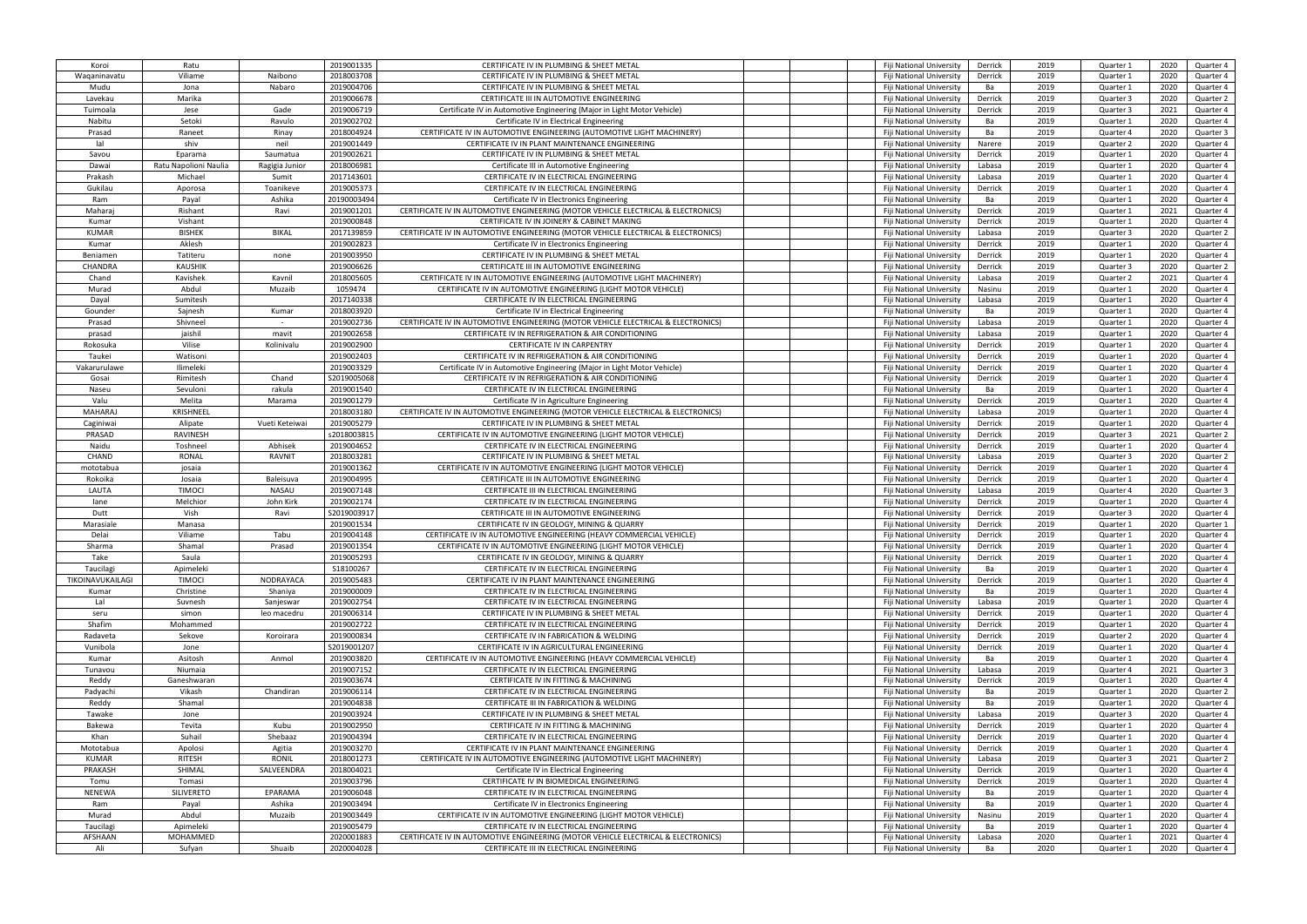| Koroi            | Ratu                  |                | 2019001335   | CERTIFICATE IV IN PLUMBING & SHEET METAL                                          | Fiji National University | Derrick | 2019 | Quarter 1 | 2020 | Quarter 4 |
|------------------|-----------------------|----------------|--------------|-----------------------------------------------------------------------------------|--------------------------|---------|------|-----------|------|-----------|
| Waqaninavatu     | Viliame               | Naibono        | 2018003708   | CERTIFICATE IV IN PLUMBING & SHEET METAL                                          | Fiji National University | Derrick | 2019 | Quarter 1 | 2020 | Quarter 4 |
|                  |                       |                |              |                                                                                   |                          |         |      |           |      |           |
| Mudu             | Jona                  | Nabaro         | 2019004706   | CERTIFICATE IV IN PLUMBING & SHEET METAL                                          | Fiji National University | Ba      | 2019 | Quarter 1 | 2020 | Quarter 4 |
| Lavekau          | Marika                |                | 2019006678   | CERTIFICATE III IN AUTOMOTIVE ENGINEERING                                         | Fiji National University | Derrick | 2019 | Quarter 3 | 2020 | Quarter 2 |
| Tuimoala         | Jese                  | Gade           | 2019006719   | Certificate IV in Automotive Engineering (Major in Light Motor Vehicle)           | Fiji National University | Derrick | 2019 | Quarter 3 | 2021 | Quarter 4 |
| Nabitu           | Setoki                | Ravulo         | 2019002702   | Certificate IV in Electrical Engineering                                          | Fiji National University | Ba      | 2019 | Quarter 1 | 2020 | Quarter 4 |
| Prasad           | Raneet                | Rinay          | 2018004924   | CERTIFICATE IV IN AUTOMOTIVE ENGINEERING (AUTOMOTIVE LIGHT MACHINERY)             | Fiji National University | Ba      | 2019 | Quarter 4 | 2020 | Quarter 3 |
| lal              | shiv                  | neil           | 2019001449   | CERTIFICATE IV IN PLANT MAINTENANCE ENGINEERING                                   | Fiji National University | Narere  | 2019 | Quarter 2 | 2020 | Quarter 4 |
| Savou            | Eparama               | Saumatua       | 2019002621   | CERTIFICATE IV IN PLUMBING & SHEET METAL                                          | Fiji National University | Derrick | 2019 | Quarter 1 | 2020 | Quarter 4 |
| Dawai            | Ratu Napolioni Naulia | Ragigia Junior | 2018006981   | Certificate III in Automotive Engineering                                         | Fiji National University | Labasa  | 2019 | Quarter 1 | 2020 | Quarter 4 |
| Prakash          | Michael               | Sumit          | 2017143601   | CERTIFICATE IV IN ELECTRICAL ENGINEERING                                          |                          | Labasa  | 2019 | Quarter 1 | 2020 | Quarter 4 |
|                  |                       |                |              |                                                                                   | Fiji National University |         |      |           |      |           |
| Gukilau          | Aporosa               | Toanikeve      | 2019005373   | CERTIFICATE IV IN ELECTRICAL ENGINEERING                                          | Fiji National University | Derrick | 2019 | Quarter 1 | 2020 | Quarter 4 |
| Ram              | Payal                 | Ashika         | 20190003494  | Certificate IV in Electronics Engineering                                         | Fiji National University | Ba      | 2019 | Quarter 1 | 2020 | Quarter 4 |
| Maharai          | Rishant               | Ravi           | 2019001201   | CERTIFICATE IV IN AUTOMOTIVE ENGINEERING (MOTOR VEHICLE ELECTRICAL & ELECTRONICS) | Fiji National University | Derrick | 2019 | Quarter 1 | 2021 | Quarter 4 |
| Kumar            | Vishant               |                | 2019000848   | CERTIFICATE IV IN JOINERY & CABINET MAKING                                        | Fiji National University | Derrick | 2019 | Quarter 1 | 2020 | Quarter 4 |
| <b>KUMAR</b>     | <b>BISHEK</b>         | <b>BIKAL</b>   | 2017139859   | CERTIFICATE IV IN AUTOMOTIVE ENGINEERING (MOTOR VEHICLE ELECTRICAL & ELECTRONICS) | Fiji National University | Labasa  | 2019 | Quarter 3 | 2020 | Quarter 2 |
| Kumar            | Aklesh                |                | 2019002823   | Certificate IV in Electronics Engineering                                         | Fiji National University | Derrick | 2019 | Quarter 1 | 2020 | Quarter 4 |
| Beniamen         | Tatiteru              | none           | 2019003950   | CERTIFICATE IV IN PLUMBING & SHEET METAL                                          | Fiji National University | Derrick | 2019 | Quarter 1 | 2020 | Quarter 4 |
| <b>CHANDRA</b>   | <b>KAUSHIK</b>        |                | 2019006626   | CERTIFICATE III IN AUTOMOTIVE ENGINEERING                                         | Fiji National University | Derrick | 2019 | Quarter 3 | 2020 | Quarter 2 |
| Chand            | Kavishek              | Kavnil         | 2018005605   | CERTIFICATE IV IN AUTOMOTIVE ENGINEERING (AUTOMOTIVE LIGHT MACHINERY)             | Fiji National University | Labasa  | 2019 | Quarter 2 | 2021 | Quarter 4 |
|                  |                       |                |              |                                                                                   |                          |         |      |           |      |           |
| Murad            | Abdul                 | Muzaib         | 1059474      | CERTIFICATE IV IN AUTOMOTIVE ENGINEERING (LIGHT MOTOR VEHICLE)                    | Fiji National University | Nasinu  | 2019 | Quarter 1 | 2020 | Quarter 4 |
| Dayal            | Sumitesh              |                | 2017140338   | CERTIFICATE IV IN ELECTRICAL ENGINEERING                                          | Fiji National University | Labasa  | 2019 | Quarter 1 | 2020 | Quarter 4 |
| Gounder          | Sajnesh               | Kumar          | 2018003920   | Certificate IV in Electrical Engineering                                          | Fiji National University | Ba      | 2019 | Quarter 1 | 2020 | Quarter 4 |
| Prasad           | Shivneel              | $\sim$         | 2019002736   | CERTIFICATE IV IN AUTOMOTIVE ENGINEERING (MOTOR VEHICLE ELECTRICAL & ELECTRONICS) | Fiji National University | Labasa  | 2019 | Quarter 1 | 2020 | Quarter 4 |
| prasad           | jaishil               | mavit          | 2019002658   | CERTIFICATE IV IN REFRIGERATION & AIR CONDITIONING                                | Fiji National University | Labasa  | 2019 | Quarter 1 | 2020 | Quarter 4 |
| Rokosuka         | Vilise                | Kolinivalu     | 2019002900   | CERTIFICATE IV IN CARPENTRY                                                       | Fiji National University | Derrick | 2019 | Quarter 1 | 2020 | Quarter 4 |
| Taukei           | Watisoni              |                | 2019002403   | CERTIFICATE IV IN REFRIGERATION & AIR CONDITIONING                                | Fiji National University | Derrick | 2019 | Quarter 1 | 2020 | Quarter 4 |
| Vakarurulawe     | Ilimeleki             |                | 2019003329   | Certificate IV in Automotive Engineering (Major in Light Motor Vehicle)           | Fiji National University | Derrick | 2019 | Quarter 1 | 2020 | Quarter 4 |
| Gosai            | Rimitesh              | Chand          | \$2019005068 | CERTIFICATE IV IN REFRIGERATION & AIR CONDITIONING                                | Fiji National University | Derrick | 2019 | Quarter 1 | 2020 | Quarter 4 |
| Naseu            | Sevuloni              | rakula         | 2019001540   | CERTIFICATE IV IN ELECTRICAL ENGINEERING                                          | Fiji National University | Ba      | 2019 | Quarter 1 | 2020 | Quarter 4 |
| Valu             | Melita                | Marama         | 2019001279   | Certificate IV in Agriculture Engineering                                         | Fiji National University | Derrick | 2019 | Quarter 1 | 2020 | Quarter 4 |
| <b>MAHARAJ</b>   | KRISHNEEL             |                | 2018003180   |                                                                                   |                          |         | 2019 |           | 2020 |           |
|                  |                       |                |              | CERTIFICATE IV IN AUTOMOTIVE ENGINEERING (MOTOR VEHICLE ELECTRICAL & ELECTRONICS) | Fiji National University | Labasa  |      | Quarter 1 |      | Quarter 4 |
| Caginiwai        | Alipate               | Vueti Keteiwa  | 2019005279   | CERTIFICATE IV IN PLUMBING & SHEET METAL                                          | Fiji National University | Derrick | 2019 | Quarter 1 | 2020 | Quarter 4 |
| PRASAD           | <b>RAVINESH</b>       |                | s2018003815  | CERTIFICATE IV IN AUTOMOTIVE ENGINEERING (LIGHT MOTOR VEHICLE)                    | Fiji National University | Derrick | 2019 | Quarter 3 | 2021 | Quarter 2 |
| Naidu            | Toshneel              | Abhisek        | 2019004652   | CERTIFICATE IV IN ELECTRICAL ENGINEERING                                          | Fiji National University | Derrick | 2019 | Quarter 1 | 2020 | Quarter 4 |
| CHAND            | RONAL                 | RAVNIT         | 2018003281   | CERTIFICATE IV IN PLUMBING & SHEET METAL                                          | Fiji National University | Labasa  | 2019 | Quarter 3 | 2020 | Quarter 2 |
| mototabua        | josaia                |                | 2019001362   | CERTIFICATE IV IN AUTOMOTIVE ENGINEERING (LIGHT MOTOR VEHICLE)                    | Fiji National University | Derrick | 2019 | Quarter 1 | 2020 | Quarter 4 |
| Rokoika          | Josaia                | Baleisuva      | 2019004995   | CERTIFICATE III IN AUTOMOTIVE ENGINEERING                                         | Fiji National University | Derrick | 2019 | Quarter 1 | 2020 | Quarter 4 |
| LAUTA            | <b>TIMOCI</b>         | NASAU          | 2019007148   | CERTIFICATE III IN ELECTRICAL ENGINEERING                                         | Fiji National University | Labasa  | 2019 | Quarter 4 | 2020 | Quarter 3 |
| lane             | Melchior              | John Kirk      | 2019002174   | CERTIFICATE IV IN ELECTRICAL ENGINEERING                                          | Fiji National University | Derrick | 2019 | Quarter 1 | 2020 | Quarter 4 |
| Dutt             | Vish                  | Ravi           | S2019003917  | CERTIFICATE III IN AUTOMOTIVE ENGINEERING                                         | Fiji National University | Derrick | 2019 | Quarter 3 | 2020 | Quarter 4 |
| Marasiale        | Manasa                |                | 2019001534   | CERTIFICATE IV IN GEOLOGY, MINING & QUARRY                                        | Fiji National University | Derrick | 2019 | Quarter 1 | 2020 | Quarter 1 |
| Delai            | Viliame               | Tabu           | 2019004148   | CERTIFICATE IV IN AUTOMOTIVE ENGINEERING (HEAVY COMMERCIAL VEHICLE)               |                          |         | 2019 | Quarter 1 | 2020 | Quarter 4 |
| Sharma           |                       |                |              | CERTIFICATE IV IN AUTOMOTIVE ENGINEERING (LIGHT MOTOR VEHICLE)                    | Fiji National University | Derrick | 2019 |           | 2020 |           |
|                  | Shamal                | Prasad         | 2019001354   |                                                                                   | Fiji National University | Derrick |      | Quarter 1 |      | Quarter 4 |
| Take             | Saula                 |                | 2019005293   | CERTIFICATE IV IN GEOLOGY, MINING & QUARRY                                        | Fiji National University | Derrick | 2019 | Quarter 1 | 2020 | Quarter 4 |
| Taucilagi        | Apimeleki             |                | S18100267    | CERTIFICATE IV IN ELECTRICAL ENGINEERING                                          | Fiji National University | Ba      | 2019 | Quarter 1 | 2020 | Quarter 4 |
| TIKOINAVUKAILAGI | <b>TIMOCI</b>         | NODRAYACA      | 2019005483   | CERTIFICATE IV IN PLANT MAINTENANCE ENGINEERING                                   | Fiji National University | Derrick | 2019 | Quarter 1 | 2020 | Quarter 4 |
| Kumar            | Christine             | Shaniya        | 2019000009   | CERTIFICATE IV IN ELECTRICAL ENGINEERING                                          | Fiji National University | Ba      | 2019 | Quarter 1 | 2020 | Quarter 4 |
| Lal              | Suvnesh               | Sanjeswar      | 2019002754   | CERTIFICATE IV IN ELECTRICAL ENGINEERING                                          | Fiji National University | Labasa  | 2019 | Quarter 1 | 2020 | Quarter 4 |
| seru             | simon                 | leo macedru    | 2019006314   | CERTIFICATE IV IN PLUMBING & SHEET METAL                                          | Fiji National University | Derrick | 2019 | Quarter 1 | 2020 | Quarter 4 |
| Shafim           | Mohammed              |                | 2019002722   | CERTIFICATE IV IN ELECTRICAL ENGINEERING                                          | Fiji National University | Derrick | 2019 | Quarter 1 | 2020 | Quarter 4 |
| Radaveta         | Sekove                | Koroirara      | 2019000834   | CERTIFICATE IV IN FABRICATION & WELDING                                           | Fiji National University | Derrick | 2019 | Quarter 2 | 2020 | Quarter 4 |
| Vunibola         | Jone                  |                | S2019001207  | CERTIFICATE IV IN AGRICULTURAL ENGINEERING                                        | Fiji National University | Derrick | 2019 | Quarter 1 | 2020 | Quarter 4 |
|                  |                       |                |              |                                                                                   |                          |         |      |           |      |           |
| Kumar            | Asitosh               | Anmol          | 2019003820   | CERTIFICATE IV IN AUTOMOTIVE ENGINEERING (HEAVY COMMERCIAL VEHICLE)               | Fiji National University | Ba      | 2019 | Quarter 1 | 2020 | Quarter 4 |
| Tunavou          | Niumaia               |                | 2019007152   | CERTIFICATE IV IN ELECTRICAL ENGINEERING                                          | Fiji National University | Labasa  | 2019 | Quarter 4 | 2021 | Quarter 3 |
| Reddy            | Ganeshwaran           |                | 2019003674   | CERTIFICATE IV IN FITTING & MACHINING                                             | Fiji National University | Derrick | 2019 | Quarter 1 | 2020 | Quarter 4 |
| Padyachi         | Vikash                | Chandiran      | 2019006114   | CERTIFICATE IV IN ELECTRICAL ENGINEERING                                          | Fiji National University | Ba      | 2019 | Quarter 1 | 2020 | Quarter 2 |
| Reddy            | Shamal                |                | 2019004838   | CERTIFICATE III IN FABRICATION & WELDING                                          | Fiji National University | Ba      | 2019 | Quarter 1 | 2020 | Quarter 4 |
| Tawake           | Jone                  |                | 2019003924   | CERTIFICATE IV IN PLUMBING & SHEET METAL                                          | Fiji National University | Labasa  | 2019 | Quarter 3 | 2020 | Quarter 4 |
| Bakewa           | Tevita                | Kubu           | 2019002950   | CERTIFICATE IV IN FITTING & MACHINING                                             | Fiji National University | Derrick | 2019 | Quarter 1 | 2020 | Quarter 4 |
| Khan             | Suhail                | Shebaaz        | 2019004394   | CERTIFICATE IV IN ELECTRICAL ENGINEERING                                          | Fiji National University | Derrick | 2019 | Quarter 1 | 2020 | Quarter 4 |
| Mototabua        | Apolosi               | Agitia         | 2019003270   | CERTIFICATE IV IN PLANT MAINTENANCE ENGINEERING                                   | Fiji National University | Derrick | 2019 | Quarter 1 | 2020 | Quarter 4 |
| KUMAR            | <b>RITESH</b>         | <b>RONIL</b>   | 2018001273   | CERTIFICATE IV IN AUTOMOTIVE ENGINEERING (AUTOMOTIVE LIGHT MACHINERY)             | Fiji National University | Labasa  | 2019 | Quarter 3 | 2021 | Quarter 2 |
| PRAKASH          | SHIMAL                | SALVEENDRA     | 2018004021   | Certificate IV in Electrical Engineering                                          | Fiji National University | Derrick | 2019 | Quarter 1 | 2020 | Quarter 4 |
| Tomu             | Tomasi                |                | 2019003796   | CERTIFICATE IV IN BIOMEDICAL ENGINEERING                                          | Fiji National University | Derrick | 2019 | Quarter 1 | 2020 | Quarter 4 |
| <b>NENEWA</b>    | <b>SILIVERETO</b>     | EPARAMA        | 2019006048   | CERTIFICATE IV IN ELECTRICAL ENGINEERING                                          |                          | Ba      | 2019 |           |      |           |
|                  |                       |                |              |                                                                                   | Fiji National University |         |      | Quarter 1 | 2020 | Quarter 4 |
| Ram              | Payal                 | Ashika         | 2019003494   | Certificate IV in Electronics Engineering                                         | Fiji National University | Ba      | 2019 | Quarter 1 | 2020 | Quarter 4 |
| Murad            | Abdul                 | Muzaib         | 2019003449   | CERTIFICATE IV IN AUTOMOTIVE ENGINEERING (LIGHT MOTOR VEHICLE)                    | Fiji National University | Nasinu  | 2019 | Quarter 1 | 2020 | Quarter 4 |
| Taucilagi        | Apimeleki             |                | 2019005479   | CERTIFICATE IV IN ELECTRICAL ENGINEERING                                          | Fiji National University | Ba      | 2019 | Quarter 1 | 2020 | Quarter 4 |
| AFSHAAN          | MOHAMMED              |                | 2020001883   | CERTIFICATE IV IN AUTOMOTIVE ENGINEERING (MOTOR VEHICLE ELECTRICAL & ELECTRONICS) | Fiji National University | Labasa  | 2020 | Quarter 1 | 2021 | Quarter 4 |
| Ali              | Sufyan                | Shuaib         | 2020004028   | CERTIFICATE III IN ELECTRICAL ENGINEERING                                         | Fiji National University | Ba      | 2020 | Quarter 1 | 2020 | Quarter 4 |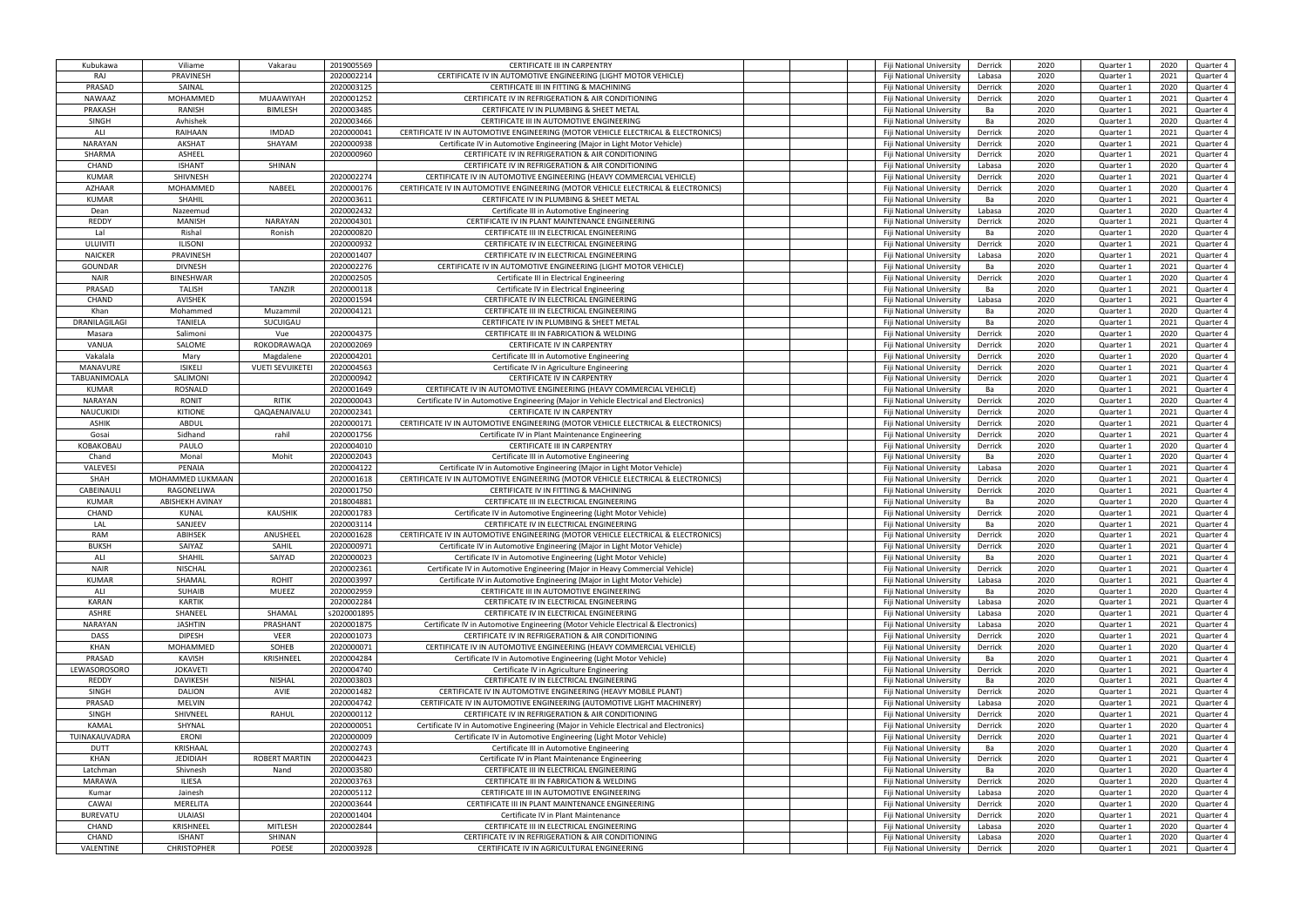| Kubukawa        | Viliame                | Vakarau                 | 2019005569  | CERTIFICATE III IN CARPENTRY                                                           | Fiji National University        | Derrick | 2020 | Quarter 1 | 2020 | Quarter 4 |
|-----------------|------------------------|-------------------------|-------------|----------------------------------------------------------------------------------------|---------------------------------|---------|------|-----------|------|-----------|
| RAJ             | PRAVINESH              |                         | 2020002214  | CERTIFICATE IV IN AUTOMOTIVE ENGINEERING (LIGHT MOTOR VEHICLE)                         | Fiji National Universit         | Labasa  | 2020 | Quarter 1 | 2021 | Quarter 4 |
| PRASAD          | SAINAL                 |                         | 2020003125  | CERTIFICATE III IN FITTING & MACHINING                                                 | Fiji National University        | Derrick | 2020 | Quarter 1 | 2020 | Quarter 4 |
| <b>NAWAAZ</b>   | MOHAMMED               | MUAAWIYAH               | 2020001252  | CERTIFICATE IV IN REFRIGERATION & AIR CONDITIONING                                     | Fiji National University        | Derrick | 2020 | Quarter 1 | 2021 | Quarter 4 |
| PRAKASH         | RANISH                 | <b>BIMLESH</b>          | 2020003485  | CERTIFICATE IV IN PLUMBING & SHEET METAL                                               | Fiji National University        | Ba      | 2020 | Quarter 1 | 2021 | Quarter 4 |
|                 |                        |                         | 2020003466  | CERTIFICATE III IN AUTOMOTIVE ENGINEERING                                              |                                 |         | 2020 |           | 2020 |           |
| <b>SINGH</b>    | Avhishek               |                         |             |                                                                                        | Fiji National University        | Ba      |      | Quarter 1 |      | Quarter 4 |
| ALI             | RAIHAAN                | <b>IMDAD</b>            | 2020000041  | CERTIFICATE IV IN AUTOMOTIVE ENGINEERING (MOTOR VEHICLE ELECTRICAL & ELECTRONICS)      | Fiji National University        | Derrick | 2020 | Quarter 1 | 2021 | Quarter 4 |
| <b>NARAYAN</b>  | <b>AKSHAT</b>          | SHAYAM                  | 2020000938  | Certificate IV in Automotive Engineering (Major in Light Motor Vehicle)                | Fiji National University        | Derrick | 2020 | Quarter 1 | 2021 | Quarter 4 |
| SHARMA          | ASHEEL                 |                         | 2020000960  | CERTIFICATE IV IN REFRIGERATION & AIR CONDITIONING                                     | Fiji National University        | Derrick | 2020 | Quarter 1 | 2021 | Quarter 4 |
| CHAND           | <b>ISHANT</b>          | SHINAN                  |             | CERTIFICATE IV IN REFRIGERATION & AIR CONDITIONING                                     | Fiji National University        | Labasa  | 2020 | Quarter 1 | 2020 | Quarter 4 |
| <b>KUMAR</b>    | SHIVNESH               |                         | 2020002274  | CERTIFICATE IV IN AUTOMOTIVE ENGINEERING (HEAVY COMMERCIAL VEHICLE)                    | Fiji National University        | Derrick | 2020 | Quarter 1 | 2021 | Quarter 4 |
| <b>AZHAAR</b>   | MOHAMMED               | NABEEL                  | 2020000176  | CERTIFICATE IV IN AUTOMOTIVE ENGINEERING (MOTOR VEHICLE ELECTRICAL & ELECTRONICS)      | Fiji National University        | Derrick | 2020 | Quarter 1 | 2020 | Quarter 4 |
| <b>KUMAR</b>    | <b>SHAHIL</b>          |                         | 2020003611  | CERTIFICATE IV IN PLUMBING & SHEET METAL                                               | Fiji National University        | Ba      | 2020 | Quarter 1 | 2021 | Quarter 4 |
| Dean            | Nazeemud               |                         | 2020002432  | Certificate III in Automotive Engineering                                              | Fiji National University        | Labasa  | 2020 | Quarter 1 | 2020 | Quarter 4 |
| <b>REDDY</b>    | <b>MANISH</b>          | NARAYAN                 | 2020004301  | CERTIFICATE IV IN PLANT MAINTENANCE ENGINEERING                                        | Fiji National University        | Derrick | 2020 | Quarter 1 | 2021 | Quarter 4 |
| Lal             |                        | Ronish                  |             |                                                                                        |                                 |         | 2020 |           |      |           |
|                 | Rishal                 |                         | 2020000820  | CERTIFICATE III IN ELECTRICAL ENGINEERING                                              | Fiji National University        | Ba      |      | Quarter 1 | 2020 | Quarter 4 |
| ULUIVITI        | <b>ILISONI</b>         |                         | 2020000932  | CERTIFICATE IV IN ELECTRICAL ENGINEERING                                               | Fiji National University        | Derrick | 2020 | Quarter 1 | 2021 | Quarter 4 |
| <b>NAICKER</b>  | PRAVINESH              |                         | 2020001407  | CERTIFICATE IV IN ELECTRICAL ENGINEERING                                               | Fiji National University        | Labasa  | 2020 | Quarter 1 | 2021 | Quarter 4 |
| <b>GOUNDAR</b>  | <b>DIVNESH</b>         |                         | 2020002276  | CERTIFICATE IV IN AUTOMOTIVE ENGINEERING (LIGHT MOTOR VEHICLE)                         | Fiji National University        | Ba      | 2020 | Quarter 1 | 2021 | Quarter 4 |
| <b>NAIR</b>     | <b>BINESHWAR</b>       |                         | 2020002505  | Certificate III in Electrical Engineering                                              | Fiji National University        | Derrick | 2020 | Quarter 1 | 2020 | Quarter 4 |
| PRASAD          | <b>TALISH</b>          | <b>TANZIR</b>           | 2020000118  | Certificate IV in Electrical Engineering                                               | Fiji National University        | Ba      | 2020 | Quarter 1 | 2021 | Quarter 4 |
| CHAND           | <b>AVISHEK</b>         |                         | 2020001594  | CERTIFICATE IV IN ELECTRICAL ENGINEERING                                               | Fiji National University        | Labasa  | 2020 | Quarter 1 | 2021 | Quarter 4 |
| Khan            | Mohammed               | Muzammil                | 2020004121  | CERTIFICATE III IN ELECTRICAL ENGINEERING                                              | Fiji National University        | Ba      | 2020 | Quarter 1 | 2020 | Quarter 4 |
| DRANILAGILAGI   | <b>TANIELA</b>         | SUCUIGAU                |             | CERTIFICATE IV IN PLUMBING & SHEET METAL                                               | Fiji National University        | Ba      | 2020 | Quarter 1 | 2021 | Quarter 4 |
|                 | Salimoni               | Vue                     | 2020004375  |                                                                                        |                                 |         | 2020 |           | 2020 |           |
| Masara          |                        |                         |             | CERTIFICATE III IN FABRICATION & WELDING                                               | Fiji National University        | Derrick |      | Quarter 1 |      | Quarter 4 |
| VANUA           | SALOME                 | ROKODRAWAQA             | 2020002069  | CERTIFICATE IV IN CARPENTRY                                                            | <b>Fiii National University</b> | Derrick | 2020 | Quarter 1 | 2021 | Quarter 4 |
| Vakalala        | Mary                   | Magdalene               | 2020004201  | Certificate III in Automotive Engineering                                              | Fiji National University        | Derrick | 2020 | Quarter 1 | 2020 | Quarter 4 |
| MANAVURE        | <b>ISIKELI</b>         | <b>VUETI SEVUIKETEI</b> | 2020004563  | Certificate IV in Agriculture Engineering                                              | Fiji National University        | Derrick | 2020 | Quarter 1 | 2021 | Quarter 4 |
| TABUANIMOALA    | SALIMONI               |                         | 2020000942  | CERTIFICATE IV IN CARPENTRY                                                            | Fiji National University        | Derrick | 2020 | Quarter 1 | 2021 | Quarter 4 |
| <b>KUMAR</b>    | ROSNALD                |                         | 2020001649  | CERTIFICATE IV IN AUTOMOTIVE ENGINEERING (HEAVY COMMERCIAL VEHICLE)                    | Fiji National University        | Ba      | 2020 | Quarter 1 | 2021 | Quarter 4 |
| NARAYAN         | RONIT                  | RITIK                   | 2020000043  | Certificate IV in Automotive Engineering (Major in Vehicle Electrical and Electronics) | Fiji National University        | Derrick | 2020 | Quarter 1 | 2020 | Quarter 4 |
| NAUCUKIDI       | <b>KITIONE</b>         | QAQAENAIVALU            | 2020002341  | CERTIFICATE IV IN CARPENTRY                                                            | Fiji National University        | Derrick | 2020 | Quarter 1 | 2021 | Quarter 4 |
| ASHIK           | ABDUL                  |                         | 2020000171  | CERTIFICATE IV IN AUTOMOTIVE ENGINEERING (MOTOR VEHICLE ELECTRICAL & ELECTRONICS)      | Fiji National University        | Derrick | 2020 | Quarter 1 | 2021 | Quarter 4 |
| Gosai           | Sidhand                | rahil                   | 2020001756  | Certificate IV in Plant Maintenance Engineering                                        | Fiji National University        | Derrick | 2020 | Quarter 1 | 2021 | Quarter 4 |
|                 |                        |                         | 2020004010  | <b>CERTIFICATE III IN CARPENTRY</b>                                                    |                                 | Derrick | 2020 |           | 2020 |           |
| KOBAKOBAU       | PAULO                  |                         |             |                                                                                        | Fiji National University        |         |      | Quarter 1 |      | Quarter 4 |
| Chand           | Monal                  | Mohit                   | 2020002043  | Certificate III in Automotive Engineering                                              | Fiji National University        | Ba      | 2020 | Quarter 1 | 2020 | Quarter 4 |
| VALEVESI        | PENAIA                 |                         | 2020004122  | Certificate IV in Automotive Engineering (Major in Light Motor Vehicle)                | Fiji National University        | Labasa  | 2020 | Quarter 1 | 2021 | Quarter 4 |
| SHAH            | MOHAMMED LUKMAAN       |                         | 2020001618  | CERTIFICATE IV IN AUTOMOTIVE ENGINEERING (MOTOR VEHICLE ELECTRICAL & ELECTRONICS)      | Fiji National University        | Derrick | 2020 | Quarter 1 | 2021 | Quarter 4 |
| CABEINAULI      | RAGONELIWA             |                         | 2020001750  | CERTIFICATE IV IN FITTING & MACHINING                                                  | Fiji National University        | Derrick | 2020 | Quarter 1 | 2021 | Quarter 4 |
| <b>KUMAR</b>    | <b>ABISHEKH AVINAY</b> |                         | 2018004881  | CERTIFICATE III IN ELECTRICAL ENGINEERING                                              | Fiji National University        | Ba      | 2020 | Quarter 1 | 2020 | Quarter 4 |
| CHAND           | KUNAL                  | <b>KAUSHIK</b>          | 2020001783  | Certificate IV in Automotive Engineering (Light Motor Vehicle)                         | Fiji National University        | Derrick | 2020 | Quarter 1 | 2021 | Quarter 4 |
| LAL             | SANJEEV                |                         | 2020003114  | CERTIFICATE IV IN ELECTRICAL ENGINEERING                                               | Fiji National University        | Ba      | 2020 | Quarter 1 | 2021 | Quarter 4 |
| <b>RAM</b>      | ABIHSEK                | ANUSHEEL                | 2020001628  | CERTIFICATE IV IN AUTOMOTIVE ENGINEERING (MOTOR VEHICLE ELECTRICAL & ELECTRONICS)      | Fiji National University        | Derrick | 2020 | Quarter 1 | 2021 | Quarter 4 |
| <b>BUKSH</b>    | SAIYAZ                 | <b>SAHIL</b>            | 2020000971  | Certificate IV in Automotive Engineering (Major in Light Motor Vehicle)                | <b>Fiii National University</b> | Derrick | 2020 | Quarter 1 | 2021 | Quarter 4 |
| ALI             | SHAHIL                 | SAIYAD                  | 2020000023  | Certificate IV in Automotive Engineering (Light Motor Vehicle)                         |                                 | Ba      | 2020 | Quarter 1 | 2021 |           |
|                 |                        |                         |             |                                                                                        | Fiji National University        |         |      |           |      | Quarter 4 |
| <b>NAIR</b>     | <b>NISCHAL</b>         |                         | 2020002361  | Certificate IV in Automotive Engineering (Major in Heavy Commercial Vehicle)           | Fiji National University        | Derrick | 2020 | Quarter 1 | 2021 | Quarter 4 |
| <b>KUMAR</b>    | SHAMAL                 | <b>ROHIT</b>            | 2020003997  | Certificate IV in Automotive Engineering (Major in Light Motor Vehicle)                | Fiji National University        | Labasa  | 2020 | Quarter 1 | 2021 | Quarter 4 |
| ALI             | <b>SUHAIB</b>          | MUEEZ                   | 2020002959  | CERTIFICATE III IN AUTOMOTIVE ENGINEERING                                              | Fiji National University        | Ba      | 2020 | Quarter 1 | 2020 | Quarter 4 |
| <b>KARAN</b>    | KARTIK                 |                         | 2020002284  | CERTIFICATE IV IN ELECTRICAL ENGINEERING                                               | Fiji National University        | Labasa  | 2020 | Quarter 1 | 2021 | Quarter 4 |
| ASHRE           | SHANEEL                | SHAMAL                  | s2020001895 | CERTIFICATE IV IN ELECTRICAL ENGINEERING                                               | Fiji National University        | Labasa  | 2020 | Quarter 1 | 2021 | Quarter 4 |
| NARAYAN         | <b>JASHTIN</b>         | PRASHANT                | 2020001875  | Certificate IV in Automotive Engineering (Motor Vehicle Electrical & Electronics)      | Fiji National University        | Labasa  | 2020 | Quarter 1 | 2021 | Quarter 4 |
| DASS            | <b>DIPESH</b>          | <b>VEER</b>             | 2020001073  | CERTIFICATE IV IN REFRIGERATION & AIR CONDITIONING                                     | Fiji National University        | Derrick | 2020 | Quarter 1 | 2021 | Quarter 4 |
| KHAN            | <b>MOHAMMED</b>        | SOHEB                   | 2020000071  | CERTIFICATE IV IN AUTOMOTIVE ENGINEERING (HEAVY COMMERCIAL VEHICLE)                    | Fiji National University        | Derrick | 2020 | Quarter 1 | 2020 | Quarter 4 |
| PRASAD          | KAVISH                 | <b>KRISHNEEL</b>        | 2020004284  | Certificate IV in Automotive Engineering (Light Motor Vehicle)                         | Fiji National University        | Ba      | 2020 | Quarter 1 | 2021 | Quarter 4 |
| LEWASOROSORO    | <b>JOKAVETI</b>        |                         | 2020004740  |                                                                                        |                                 |         |      |           |      |           |
|                 |                        |                         |             | Certificate IV in Agriculture Engineering                                              | Fiji National University        | Derrick | 2020 | Quarter 1 | 2021 | Quarter 4 |
| REDDY           | DAVIKESH               | <b>NISHAL</b>           | 2020003803  | CERTIFICATE IV IN ELECTRICAL ENGINEERING                                               | Fiji National University        | Ba      | 2020 | Quarter 1 | 2021 | Quarter 4 |
| <b>SINGH</b>    | <b>DALION</b>          | AVIE                    | 2020001482  | CERTIFICATE IV IN AUTOMOTIVE ENGINEERING (HEAVY MOBILE PLANT)                          | Fiji National University        | Derrick | 2020 | Quarter 1 | 2021 | Quarter 4 |
| PRASAD          | <b>MELVIN</b>          |                         | 2020004742  | CERTIFICATE IV IN AUTOMOTIVE ENGINEERING (AUTOMOTIVE LIGHT MACHINERY)                  | Fiji National University        | Labasa  | 2020 | Quarter 1 | 2021 | Quarter 4 |
| SINGH           | SHIVNEEL               | RAHUL                   | 2020000112  | CERTIFICATE IV IN REFRIGERATION & AIR CONDITIONING                                     | Fiji National University        | Derrick | 2020 | Quarter 1 | 2021 | Quarter 4 |
| KAMAL           | SHYNAL                 |                         | 2020000051  | Certificate IV in Automotive Engineering (Major in Vehicle Electrical and Electronics) | Fiji National University        | Derrick | 2020 | Quarter 1 | 2020 | Quarter 4 |
| TUINAKAUVADRA   | <b>ERONI</b>           |                         | 2020000009  | Certificate IV in Automotive Engineering (Light Motor Vehicle)                         | Fiji National University        | Derrick | 2020 | Quarter 1 | 2021 | Quarter 4 |
| <b>DUTT</b>     | KRISHAAL               |                         | 2020002743  | Certificate III in Automotive Engineering                                              | Fiji National University        | Ba      | 2020 | Quarter 1 | 2020 | Quarter 4 |
| KHAN            | <b>JEDIDIAH</b>        | <b>ROBERT MARTIN</b>    | 2020004423  | Certificate IV in Plant Maintenance Engineering                                        | Fiji National University        | Derrick | 2020 | Quarter 1 | 2021 | Quarter 4 |
| Latchman        | Shivnesh               | Nand                    | 2020003580  | CERTIFICATE III IN ELECTRICAL ENGINEERING                                              | Fiji National University        | Ba      | 2020 | Quarter 1 | 2020 | Quarter 4 |
| MARAWA          | <b>ILIESA</b>          |                         |             |                                                                                        |                                 |         |      |           |      |           |
|                 |                        |                         | 2020003763  | CERTIFICATE III IN FABRICATION & WELDING                                               | Fiji National University        | Derrick | 2020 | Quarter 1 | 2020 | Quarter 4 |
| Kumar           | Jainesh                |                         | 2020005112  | CERTIFICATE III IN AUTOMOTIVE ENGINEERING                                              | Fiji National University        | Labasa  | 2020 | Quarter 1 | 2020 | Quarter 4 |
| CAWAI           | MERELITA               |                         | 2020003644  | CERTIFICATE III IN PLANT MAINTENANCE ENGINEERING                                       | Fiji National University        | Derrick | 2020 | Quarter 1 | 2020 | Quarter 4 |
| <b>BUREVATU</b> | ULAIASI                |                         | 2020001404  | Certificate IV in Plant Maintenance                                                    | Fiji National University        | Derrick | 2020 | Quarter 1 | 2021 | Quarter 4 |
| CHAND           | KRISHNEEL              | <b>MITLESH</b>          | 2020002844  | CERTIFICATE III IN ELECTRICAL ENGINEERING                                              | Fiji National University        | Labasa  | 2020 | Quarter 1 | 2020 | Quarter 4 |
| CHAND           | <b>ISHANT</b>          | SHINAN                  |             | CERTIFICATE IV IN REFRIGERATION & AIR CONDITIONING                                     | Fiji National University        | Labasa  | 2020 | Quarter 1 | 2020 | Quarter 4 |
| VALENTINE       | <b>CHRISTOPHER</b>     | POESE                   | 2020003928  | CERTIFICATE IV IN AGRICULTURAL ENGINEERING                                             | Fiji National University        | Derrick | 2020 | Quarter 1 | 2021 | Quarter 4 |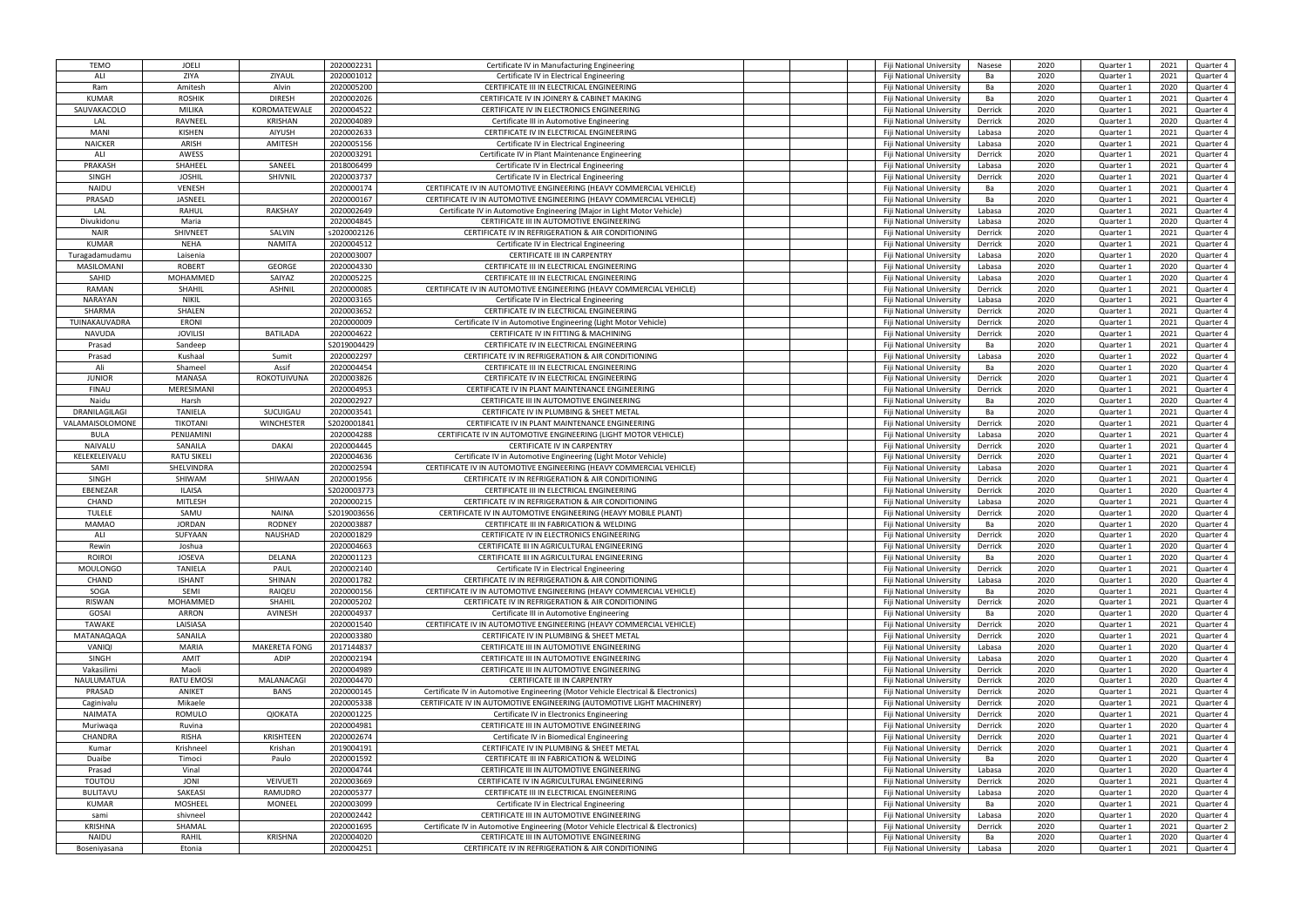| <b>TEMO</b>                  | <b>JOELI</b>           |                      | 2020002231               | Certificate IV in Manufacturing Engineering                                                     | Fiji National University                             | Nasese       | 2020         | Quarter 1              | 2021         | Quarter 4              |
|------------------------------|------------------------|----------------------|--------------------------|-------------------------------------------------------------------------------------------------|------------------------------------------------------|--------------|--------------|------------------------|--------------|------------------------|
| ALI                          | ZIYA                   | ZIYAUL               | 2020001012               | Certificate IV in Electrical Engineering                                                        | Fiji National University                             | Ba           | 2020         | Quarter 1              | 2021         | Quarter 4              |
| Ram                          | Amitesh                | Alvin                | 2020005200               | CERTIFICATE III IN ELECTRICAL ENGINEERING                                                       | Fiji National University                             | Ba           | 2020         | Quarter 1              | 2020         | Quarter 4              |
| <b>KUMAR</b>                 | <b>ROSHIK</b>          | <b>DIRESH</b>        | 2020002026               | CERTIFICATE IV IN JOINERY & CABINET MAKING                                                      | Fiji National University                             | Ba           | 2020         | Quarter 1              | 2021         | Quarter 4              |
| SAUVAKACOLO                  | MILIKA                 | KOROMATEWALE         | 2020004522               | CERTIFICATE IV IN ELECTRONICS ENGINEERING                                                       | Fiji National University                             | Derrick      | 2020         | Quarter 1              | 2021         | Quarter 4              |
| LAL                          | RAVNEEL                | <b>KRISHAN</b>       | 2020004089               | Certificate III in Automotive Engineering                                                       | Fiji National University                             | Derrick      | 2020         | Quarter 1              | 2020         | Quarter 4              |
|                              |                        |                      |                          |                                                                                                 |                                                      |              |              |                        |              |                        |
| <b>MANI</b>                  | KISHEN                 | <b>AIYUSH</b>        | 2020002633               | CERTIFICATE IV IN ELECTRICAL ENGINEERING                                                        | Fiji National University                             | Labasa       | 2020         | Quarter 1              | 2021         | Quarter 4              |
| <b>NAICKER</b>               | ARISH                  | AMITESH              | 2020005156               | Certificate IV in Electrical Engineering                                                        | Fiji National University                             | Labasa       | 2020         | Quarter 1              | 2021         | Quarter 4              |
| ALI                          | AWESS                  |                      | 2020003291               | Certificate IV in Plant Maintenance Engineering                                                 | Fiji National University                             | Derrick      | 2020         | Quarter 1              | 2021         | Quarter 4              |
| PRAKASH                      | SHAHEEL                | SANEEL               | 2018006499               | Certificate IV in Electrical Engineering                                                        | Fiji National University                             | Labasa       | 2020         | Quarter 1              | 2021         | Quarter 4              |
| <b>SINGH</b>                 | <b>JOSHIL</b>          | SHIVNIL              | 2020003737               | Certificate IV in Electrical Engineering                                                        | Fiji National University                             | Derrick      | 2020         | Quarter 1              | 2021         | Quarter 4              |
| <b>NAIDU</b>                 | <b>VENESH</b>          |                      | 2020000174               | CERTIFICATE IV IN AUTOMOTIVE ENGINEERING (HEAVY COMMERCIAL VEHICLE)                             | Fiji National University                             | Ba           | 2020         | Quarter 1              | 2021         | Quarter 4              |
| PRASAD                       | JASNEEL                |                      | 2020000167               | CERTIFICATE IV IN AUTOMOTIVE ENGINEERING (HEAVY COMMERCIAL VEHICLE)                             | Fiji National University                             | Ba           | 2020         | Quarter 1              | 2021         | Quarter 4              |
| LAL                          | RAHUL                  | RAKSHAY              | 2020002649               | Certificate IV in Automotive Engineering (Major in Light Motor Vehicle)                         | Fiji National University                             | Labasa       | 2020         | Quarter 1              | 2021         | Quarter 4              |
| Divukidonu                   | Maria                  |                      | 2020004845               | CERTIFICATE III IN AUTOMOTIVE ENGINEERING                                                       | Fiji National University                             | Labasa       | 2020         | Quarter 1              | 2020         | Quarter 4              |
| <b>NAIR</b>                  | <b>SHIVNEET</b>        | SALVIN               | s2020002126              | CERTIFICATE IV IN REFRIGERATION & AIR CONDITIONING                                              | Fiji National University                             | Derrick      | 2020         | Quarter 1              | 2021         | Quarter 4              |
| <b>KUMAR</b>                 | <b>NEHA</b>            | <b>NAMITA</b>        | 2020004512               | Certificate IV in Electrical Engineering                                                        | Fiji National University                             | Derrick      | 2020         | Quarter 1              | 2021         | Quarter 4              |
| Turagadamudamu               | Laisenia               |                      | 2020003007               | <b>CERTIFICATE III IN CARPENTRY</b>                                                             | Fiji National University                             | Labasa       | 2020         | Quarter 1              | 2020         | Quarter 4              |
| <b>MASILOMANI</b>            | <b>ROBERT</b>          | <b>GEORGE</b>        | 2020004330               | CERTIFICATE III IN ELECTRICAL ENGINEERING                                                       | Fiji National University                             | Labasa       | 2020         | Quarter 1              | 2020         | Quarter 4              |
|                              |                        |                      |                          |                                                                                                 |                                                      |              |              |                        |              |                        |
| SAHID                        | MOHAMMED               | SAIYAZ               | 2020005225               | CERTIFICATE III IN ELECTRICAL ENGINEERING                                                       | Fiji National University                             | Labasa       | 2020         | Quarter 1              | 2020         | Quarter 4              |
| RAMAN                        | SHAHIL                 | <b>ASHNIL</b>        | 2020000085               | CERTIFICATE IV IN AUTOMOTIVE ENGINEERING (HEAVY COMMERCIAL VEHICLE)                             | Fiji National University                             | Derrick      | 2020         | Quarter 1              | 2021         | Quarter 4              |
| <b>NARAYAN</b>               | <b>NIKIL</b>           |                      | 2020003165               | Certificate IV in Electrical Engineering                                                        | <b>Fiii National University</b>                      | Labasa       | 2020         | Quarter 1              | 2021         | Quarter 4              |
| SHARMA                       | SHALEN                 |                      | 2020003652               | CERTIFICATE IV IN ELECTRICAL ENGINEERING                                                        | Fiji National University                             | Derrick      | 2020         | Quarter 1              | 2021         | Quarter 4              |
| TUINAKAUVADRA                | <b>ERONI</b>           |                      | 2020000009               | Certificate IV in Automotive Engineering (Light Motor Vehicle)                                  | Fiji National University                             | Derrick      | 2020         | Quarter 1              | 2021         | Quarter 4              |
| <b>NAVUDA</b>                | <b>JOVILISI</b>        | <b>BATILADA</b>      | 2020004622               | CERTIFICATE IV IN FITTING & MACHINING                                                           | Fiji National University                             | Derrick      | 2020         | Quarter 1              | 2021         | Quarter 4              |
| Prasad                       | Sandeep                |                      | S2019004429              | CERTIFICATE IV IN ELECTRICAL ENGINEERING                                                        | Fiji National University                             | Ba           | 2020         | Quarter 1              | 2021         | Quarter 4              |
| Prasad                       | Kushaal                | Sumit                | 2020002297               | CERTIFICATE IV IN REFRIGERATION & AIR CONDITIONING                                              | Fiji National University                             | Labasa       | 2020         | Quarter 1              | 2022         | Quarter 4              |
| Ali                          | Shameel                | Assif                | 2020004454               | CERTIFICATE III IN ELECTRICAL ENGINEERING                                                       | Fiji National University                             | Ba           | 2020         | Quarter 1              | 2020         | Quarter 4              |
| <b>JUNIOR</b>                | <b>MANASA</b>          | ROKOTUIVUNA          | 2020003826               | CERTIFICATE IV IN ELECTRICAL ENGINEERING                                                        | Fiji National University                             | Derrick      | 2020         | Quarter 1              | 2021         | Quarter 4              |
| <b>FINAU</b>                 | MERESIMANI             |                      | 2020004953               | CERTIFICATE IV IN PLANT MAINTENANCE ENGINEERING                                                 | Fiji National University                             | Derrick      | 2020         | Quarter 1              | 2021         | Quarter 4              |
|                              |                        |                      |                          |                                                                                                 |                                                      |              |              |                        |              |                        |
| Naidu                        | Harsh                  |                      | 2020002927               | CERTIFICATE III IN AUTOMOTIVE ENGINEERING                                                       | Fiji National University                             | Ba           | 2020         | Quarter 1              | 2020         | Quarter 4              |
| DRANILAGILAGI                | <b>TANIELA</b>         | SUCUIGAU             | 2020003541               | CERTIFICATE IV IN PLUMBING & SHEET METAL                                                        | Fiji National University                             | Ba           | 2020         | Quarter 1              | 2021         | Quarter 4              |
| VALAMAISOLOMONE              | <b>TIKOTANI</b>        | <b>WINCHESTER</b>    | S2020001841              | CERTIFICATE IV IN PLANT MAINTENANCE ENGINEERING                                                 | Fiji National University                             | Derrick      | 2020         | Quarter 1              | 2021         | Quarter 4              |
| <b>BULA</b>                  | PENIJAMINI             |                      | 2020004288               | CERTIFICATE IV IN AUTOMOTIVE ENGINEERING (LIGHT MOTOR VEHICLE)                                  | Fiji National University                             | Labasa       | 2020         | Quarter 1              | 2021         | Quarter 4              |
| NAIVALU                      | SANAILA                | <b>DAKAI</b>         | 2020004445               | CERTIFICATE IV IN CARPENTRY                                                                     | Fiji National University                             | Derrick      | 2020         | Quarter 1              | 2021         | Quarter 4              |
| KELEKELEIVALU                | <b>RATU SIKELI</b>     |                      | 2020004636               | Certificate IV in Automotive Engineering (Light Motor Vehicle)                                  | Fiji National University                             | Derrick      | 2020         |                        | 2021         | Quarter 4              |
|                              |                        |                      |                          |                                                                                                 |                                                      |              |              | Quarter 1              |              |                        |
| SAMI                         | SHELVINDRA             |                      | 2020002594               | CERTIFICATE IV IN AUTOMOTIVE ENGINEERING (HEAVY COMMERCIAL VEHICLE)                             | Fiji National University                             | Labasa       | 2020         | Quarter 1              | 2021         | Quarter 4              |
| <b>SINGH</b>                 | SHIWAM                 | SHIWAAN              |                          | CERTIFICATE IV IN REFRIGERATION & AIR CONDITIONING                                              |                                                      | Derrick      |              |                        |              |                        |
|                              |                        |                      | 2020001956               |                                                                                                 | Fiji National University                             |              | 2020         | Quarter 1              | 2021         | Quarter 4              |
| EBENEZAR                     | <b>ILAISA</b>          |                      | S2020003773              | CERTIFICATE III IN ELECTRICAL ENGINEERING                                                       | Fiji National University                             | Derrick      | 2020         | Quarter 1              | 2020         | Quarter 4              |
| CHAND                        | <b>MITLESH</b>         |                      | 2020000215               | CERTIFICATE IV IN REFRIGERATION & AIR CONDITIONING                                              | Fiji National University                             | Labasa       | 2020         | Quarter 1              | 2021         | Quarter 4              |
| <b>TULELE</b>                | SAMU                   | NAINA                | S2019003656              | CERTIFICATE IV IN AUTOMOTIVE ENGINEERING (HEAVY MOBILE PLANT)                                   | Fiji National University                             | Derrick      | 2020         | Quarter 1              | 2020         | Quarter 4              |
| <b>MAMAO</b>                 | <b>JORDAN</b>          | <b>RODNEY</b>        | 2020003887               | CERTIFICATE III IN FABRICATION & WELDING                                                        | Fiji National University                             | Ba           | 2020         | Quarter 1              | 2020         | Quarter 4              |
| ALI                          | SUFYAAN                | <b>NAUSHAD</b>       | 2020001829               | CERTIFICATE IV IN ELECTRONICS ENGINEERING                                                       | Fiji National University                             | Derrick      | 2020         | Quarter 1              | 2020         | Quarter 4              |
| Rewin                        | Joshua                 |                      | 2020004663               | CERTIFICATE III IN AGRICULTURAL ENGINEERING                                                     | Fiji National University                             | Derrick      | 2020         | Quarter 1              | 2020         | Quarter 4              |
| <b>ROIROI</b>                | <b>JOSEVA</b>          | DELANA               | 2020001123               | CERTIFICATE III IN AGRICULTURAL ENGINEERING                                                     | Fiji National University                             | Ba           | 2020         | Quarter 1              | 2020         | Quarter 4              |
| <b>MOULONGO</b>              | <b>TANIELA</b>         | PAUL                 | 2020002140               | Certificate IV in Electrical Engineering                                                        | Fiji National University                             | Derrick      | 2020         | Quarter 1              | 2021         | Quarter 4              |
| CHAND                        | <b>ISHANT</b>          | SHINAN               | 2020001782               | CERTIFICATE IV IN REFRIGERATION & AIR CONDITIONING                                              | Fiji National University                             | Labasa       | 2020         | Quarter 1              | 2020         | Quarter 4              |
| SOGA                         | SEMI                   | RAIQEU               | 2020000156               | CERTIFICATE IV IN AUTOMOTIVE ENGINEERING (HEAVY COMMERCIAL VEHICLE)                             | Fiji National University                             | Ba           | 2020         | Quarter 1              | 2021         | Quarter 4              |
| <b>RISWAN</b>                | MOHAMMED               | SHAHIL               | 2020005202               | CERTIFICATE IV IN REFRIGERATION & AIR CONDITIONING                                              | Fiji National University                             | Derrick      | 2020         | Quarter 1              | 2021         | Quarter 4              |
| GOSAI                        | ARRON                  | AVINESH              | 2020004937               | Certificate III in Automotive Engineering                                                       | Fiji National University                             | Ba           | 2020         | Quarter 1              | 2020         | Quarter 4              |
| <b>TAWAKE</b>                | LAISIASA               |                      | 2020001540               | CERTIFICATE IV IN AUTOMOTIVE ENGINEERING (HEAVY COMMERCIAL VEHICLE)                             | Fiji National University                             | Derrick      | 2020         | Quarter 1              | 2021         | Quarter 4              |
| MATANAQAQA                   | SANAILA                |                      | 2020003380               | CERTIFICATE IV IN PLUMBING & SHEET METAL                                                        | Fiji National University                             | Derrick      | 2020         | Quarter 1              | 2021         | Quarter 4              |
|                              |                        |                      |                          |                                                                                                 |                                                      |              |              |                        |              |                        |
| VANIQI                       | MARIA                  | <b>MAKERETA FONG</b> | 2017144837               | CERTIFICATE III IN AUTOMOTIVE ENGINEERING                                                       | Fiji National University                             | Labasa       | 2020         | Quarter 1              | 2020         | Quarter 4              |
| SINGH                        | AMIT                   | ADIP                 | 2020002194               | CERTIFICATE III IN AUTOMOTIVE ENGINEERING                                                       | Fiji National University                             | Labasa       | 2020         | Quarter 1              | 2020         | Quarter 4              |
| Vakasilimi                   | Maoli                  |                      | 2020004989               | CERTIFICATE III IN AUTOMOTIVE ENGINEERING                                                       | Fiji National University                             | Derrick      | 2020         | Quarter 1              | 2020         | Quarter 4              |
| NAULUMATUA                   | <b>RATU EMOSI</b>      | MALANACAGI           | 2020004470               | CERTIFICATE III IN CARPENTRY                                                                    | Fiji National University                             | Derrick      | 2020         | Quarter 1              | 2020         | Quarter 4              |
| PRASAD                       | ANIKET                 | <b>BANS</b>          | 2020000145               | Certificate IV in Automotive Engineering (Motor Vehicle Electrical & Electronics)               | Fiji National University                             | Derrick      | 2020         | Quarter 1              | 2021         | Quarter 4              |
| Caginivalu                   | Mikaele                |                      | 2020005338               | CERTIFICATE IV IN AUTOMOTIVE ENGINEERING (AUTOMOTIVE LIGHT MACHINERY)                           | Fiji National University                             | Derrick      | 2020         | Quarter 1              | 2021         | Quarter 4              |
| <b>NAIMATA</b>               | ROMULO                 | <b>QIOKATA</b>       | 2020001225               | Certificate IV in Electronics Engineering                                                       | Fiji National University                             | Derrick      | 2020         | Quarter 1              | 2021         | Quarter 4              |
| Muriwaga                     | Ruvina                 |                      | 2020004981               | CERTIFICATE III IN AUTOMOTIVE ENGINEERING                                                       | Fiji National University                             | Derrick      | 2020         | Quarter 1              | 2020         | Quarter 4              |
| CHANDRA                      | <b>RISHA</b>           | <b>KRISHTEEN</b>     | 2020002674               | Certificate IV in Biomedical Engineering                                                        | Fiji National University                             | Derrick      | 2020         | Quarter 1              | 2021         | Quarter 4              |
| Kumar                        | Krishneel              | Krishan              | 2019004191               | CERTIFICATE IV IN PLUMBING & SHEET METAL                                                        | Fiji National University                             | Derrick      | 2020         | Quarter 1              | 2021         | Quarter 4              |
| Duaibe                       | Timoci                 | Paulo                | 2020001592               | CERTIFICATE III IN FABRICATION & WELDING                                                        | Fiji National University                             | Ba           | 2020         | Quarter 1              | 2020         | Quarter 4              |
| Prasad                       | Vinal                  |                      | 2020004744               | CERTIFICATE III IN AUTOMOTIVE ENGINEERING                                                       | Fiji National University                             | Labasa       | 2020         | Quarter 1              | 2020         | Quarter 4              |
| TOUTOU                       | JONI                   | <b>VEIVUETI</b>      | 2020003669               | CERTIFICATE IV IN AGRICULTURAL ENGINEERING                                                      | Fiji National University                             | Derrick      | 2020         | Quarter 1              | 2021         | Quarter 4              |
|                              |                        |                      |                          |                                                                                                 |                                                      |              |              |                        |              |                        |
| <b>BULITAVU</b>              | SAKEASI                | RAMUDRO              | 2020005377               | CERTIFICATE III IN ELECTRICAL ENGINEERING                                                       | Fiji National University                             | Labasa       | 2020         | Quarter 1              | 2020         | Quarter 4              |
| <b>KUMAR</b>                 | <b>MOSHEEL</b>         | <b>MONEEL</b>        | 2020003099               | Certificate IV in Electrical Engineering                                                        | Fiji National University                             | Ba           | 2020         | Quarter 1              | 2021         | Quarter 4              |
| sami                         | shivneel               |                      | 2020002442               | CERTIFICATE III IN AUTOMOTIVE ENGINEERING                                                       | Fiji National University                             | Labasa       | 2020         | Quarter 1              | 2020         | Quarter 4              |
| <b>KRISHNA</b>               | SHAMAL                 |                      | 2020001695               | Certificate IV in Automotive Engineering (Motor Vehicle Electrical & Electronics)               | Fiji National University                             | Derrick      | 2020         | Quarter 1              | 2021         | Quarter 2              |
| <b>NAIDU</b><br>Boseniyasana | <b>RAHIL</b><br>Etonia | KRISHNA              | 2020004020<br>2020004251 | CERTIFICATE III IN AUTOMOTIVE ENGINEERING<br>CERTIFICATE IV IN REFRIGERATION & AIR CONDITIONING | Fiji National University<br>Fiji National University | Ba<br>Labasa | 2020<br>2020 | Quarter 1<br>Quarter 1 | 2020<br>2021 | Quarter 4<br>Quarter 4 |